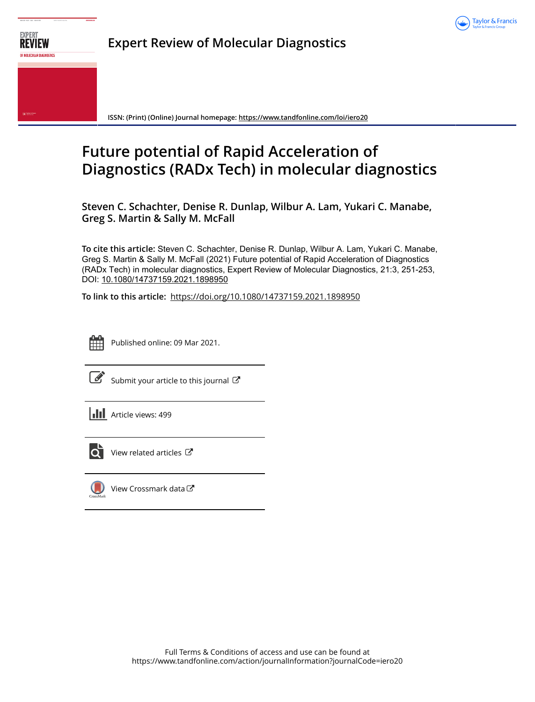



**Expert Review of Molecular Diagnostics**

**ISSN: (Print) (Online) Journal homepage:<https://www.tandfonline.com/loi/iero20>**

# **Future potential of Rapid Acceleration of Diagnostics (RADx Tech) in molecular diagnostics**

**Steven C. Schachter, Denise R. Dunlap, Wilbur A. Lam, Yukari C. Manabe, Greg S. Martin & Sally M. McFall**

**To cite this article:** Steven C. Schachter, Denise R. Dunlap, Wilbur A. Lam, Yukari C. Manabe, Greg S. Martin & Sally M. McFall (2021) Future potential of Rapid Acceleration of Diagnostics (RADx Tech) in molecular diagnostics, Expert Review of Molecular Diagnostics, 21:3, 251-253, DOI: [10.1080/14737159.2021.1898950](https://www.tandfonline.com/action/showCitFormats?doi=10.1080/14737159.2021.1898950)

**To link to this article:** <https://doi.org/10.1080/14737159.2021.1898950>



Published online: 09 Mar 2021.



 $\mathbb S$  [Submit your article to this journal](https://www.tandfonline.com/action/authorSubmission?journalCode=iero20&show=instructions)  $\mathbb S$ 

**III** Article views: 499



[View related articles](https://www.tandfonline.com/doi/mlt/10.1080/14737159.2021.1898950) C



[View Crossmark data](http://crossmark.crossref.org/dialog/?doi=10.1080/14737159.2021.1898950&domain=pdf&date_stamp=2021-03-09)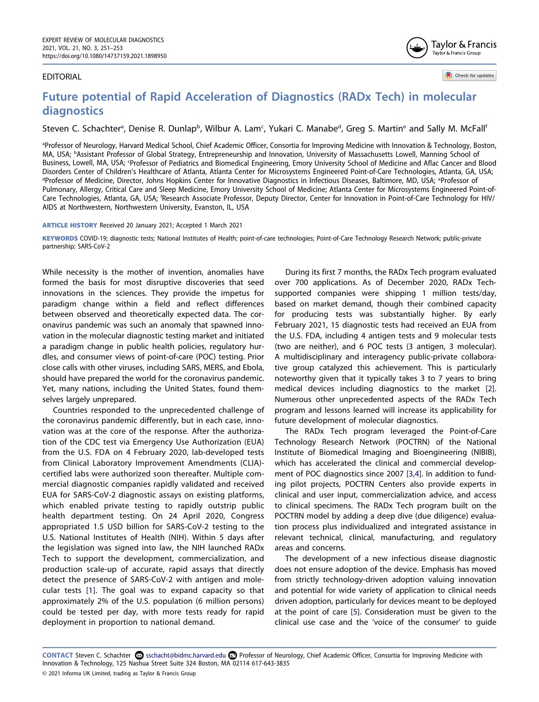## EDITORIAL

Check for updates

Taylor & Francis Taylor & Francis Group

# **Future potential of Rapid Acceleration of Diagnostics (RADx Tech) in molecular diagnostics**

Steven C. Sch[a](#page-1-0)cht[e](#page-1-3)r<sup>a</sup>, Denise R. Dunlap<sup>b</sup>, Wilbur A. Lam<sup>c</sup>, Yukari C. Manabe<sup>d</sup>, Greg S. Martin<sup>e</sup> and Sally M. McFall<sup>i</sup>

<span id="page-1-3"></span><span id="page-1-2"></span><span id="page-1-1"></span><span id="page-1-0"></span>a Professor of Neurology, Harvard Medical School, Chief Academic Officer, Consortia for Improving Medicine with Innovation & Technology, Boston, MA, USA; <sup>b</sup>Assistant Professor of Global Strategy, Entrepreneurship and Innovation, University of Massachusetts Lowell, Manning School of Business, Lowell, MA, USA; <sup>c</sup>Professor of Pediatrics and Biomedical Engineering, Emory University School of Medicine and Aflac Cancer and Blood Disorders Center of Children's Healthcare of Atlanta, Atlanta Center for Microsystems Engineered Point-of-Care Technologies, Atlanta, GA, USA; d Professor of Medicine, Director, Johns Hopkins Center for Innovative Diagnostics in Infectious Diseases, Baltimore, MD, USA; <sup>e</sup>Professor of Pulmonary, Allergy, Critical Care and Sleep Medicine, Emory University School of Medicine; Atlanta Center for Microsystems Engineered Point-of-Care Technologies, Atlanta, GA, USA; f Research Associate Professor, Deputy Director, Center for Innovation in Point-of-Care Technology for HIV/ AIDS at Northwestern, Northwestern University, Evanston, IL, USA

#### <span id="page-1-4"></span>**ARTICLE HISTORY** Received 20 January 2021; Accepted 1 March 2021

**KEYWORDS** COVID-19; diagnostic tests; National Institutes of Health; point-of-care technologies; Point-of-Care Technology Research Network; public-private partnership; SARS-CoV-2

While necessity is the mother of invention, anomalies have formed the basis for most disruptive discoveries that seed innovations in the sciences. They provide the impetus for paradigm change within a field and reflect differences between observed and theoretically expected data. The coronavirus pandemic was such an anomaly that spawned innovation in the molecular diagnostic testing market and initiated a paradigm change in public health policies, regulatory hurdles, and consumer views of point-of-care (POC) testing. Prior close calls with other viruses, including SARS, MERS, and Ebola, should have prepared the world for the coronavirus pandemic. Yet, many nations, including the United States, found themselves largely unprepared.

Countries responded to the unprecedented challenge of the coronavirus pandemic differently, but in each case, innovation was at the core of the response. After the authorization of the CDC test via Emergency Use Authorization (EUA) from the U.S. FDA on 4 February 2020, lab-developed tests from Clinical Laboratory Improvement Amendments (CLIA) certified labs were authorized soon thereafter. Multiple commercial diagnostic companies rapidly validated and received EUA for SARS-CoV-2 diagnostic assays on existing platforms, which enabled private testing to rapidly outstrip public health department testing. On 24 April 2020, Congress appropriated 1.5 USD billion for SARS-CoV-2 testing to the U.S. National Institutes of Health (NIH). Within 5 days after the legislation was signed into law, the NIH launched RADx Tech to support the development, commercialization, and production scale-up of accurate, rapid assays that directly detect the presence of SARS-CoV-2 with antigen and molecular tests [\[1](#page-3-0)]. The goal was to expand capacity so that approximately 2% of the U.S. population (6 million persons) could be tested per day, with more tests ready for rapid deployment in proportion to national demand.

During its first 7 months, the RADx Tech program evaluated over 700 applications. As of December 2020, RADx Techsupported companies were shipping 1 million tests/day, based on market demand, though their combined capacity for producing tests was substantially higher. By early February 2021, 15 diagnostic tests had received an EUA from the U.S. FDA, including 4 antigen tests and 9 molecular tests (two are neither), and 6 POC tests (3 antigen, 3 molecular). A multidisciplinary and interagency public-private collaborative group catalyzed this achievement. This is particularly noteworthy given that it typically takes 3 to 7 years to bring medical devices including diagnostics to the market [[2\]](#page-3-1). Numerous other unprecedented aspects of the RADx Tech program and lessons learned will increase its applicability for future development of molecular diagnostics.

<span id="page-1-7"></span><span id="page-1-6"></span>The RADx Tech program leveraged the Point-of-Care Technology Research Network (POCTRN) of the National Institute of Biomedical Imaging and Bioengineering (NIBIB), which has accelerated the clinical and commercial development of POC diagnostics since 2007 [\[3](#page-3-2)[,4](#page-3-3)]. In addition to funding pilot projects, POCTRN Centers also provide experts in clinical and user input, commercialization advice, and access to clinical specimens. The RADx Tech program built on the POCTRN model by adding a deep dive (due diligence) evaluation process plus individualized and integrated assistance in relevant technical, clinical, manufacturing, and regulatory areas and concerns.

<span id="page-1-8"></span>The development of a new infectious disease diagnostic does not ensure adoption of the device. Emphasis has moved from strictly technology-driven adoption valuing innovation and potential for wide variety of application to clinical needs driven adoption, particularly for devices meant to be deployed at the point of care [\[5](#page-3-4)]. Consideration must be given to the clinical use case and the 'voice of the consumer' to guide

<span id="page-1-5"></span>CONTACT Steven C. Schachter <sup>5</sup> sschacht@bidmc.harvard.edu **■** Professor of Neurology, Chief Academic Officer, Consortia for Improving Medicine with Innovation & Technology, 125 Nashua Street Suite 324 Boston, MA 02114 617-643-3835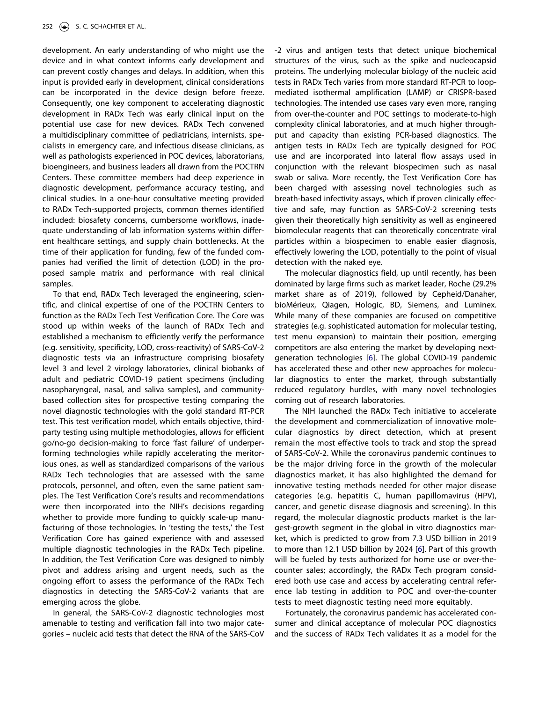development. An early understanding of who might use the device and in what context informs early development and can prevent costly changes and delays. In addition, when this input is provided early in development, clinical considerations can be incorporated in the device design before freeze. Consequently, one key component to accelerating diagnostic development in RADx Tech was early clinical input on the potential use case for new devices. RADx Tech convened a multidisciplinary committee of pediatricians, internists, specialists in emergency care, and infectious disease clinicians, as well as pathologists experienced in POC devices, laboratorians, bioengineers, and business leaders all drawn from the POCTRN Centers. These committee members had deep experience in diagnostic development, performance accuracy testing, and clinical studies. In a one-hour consultative meeting provided to RADx Tech-supported projects, common themes identified included: biosafety concerns, cumbersome workflows, inadequate understanding of lab information systems within different healthcare settings, and supply chain bottlenecks. At the time of their application for funding, few of the funded companies had verified the limit of detection (LOD) in the proposed sample matrix and performance with real clinical samples.

To that end, RADx Tech leveraged the engineering, scientific, and clinical expertise of one of the POCTRN Centers to function as the RADx Tech Test Verification Core. The Core was stood up within weeks of the launch of RADx Tech and established a mechanism to efficiently verify the performance (e.g. sensitivity, specificity, LOD, cross-reactivity) of SARS-CoV-2 diagnostic tests via an infrastructure comprising biosafety level 3 and level 2 virology laboratories, clinical biobanks of adult and pediatric COVID-19 patient specimens (including nasopharyngeal, nasal, and saliva samples), and communitybased collection sites for prospective testing comparing the novel diagnostic technologies with the gold standard RT-PCR test. This test verification model, which entails objective, thirdparty testing using multiple methodologies, allows for efficient go/no-go decision-making to force 'fast failure' of underperforming technologies while rapidly accelerating the meritorious ones, as well as standardized comparisons of the various RADx Tech technologies that are assessed with the same protocols, personnel, and often, even the same patient samples. The Test Verification Core's results and recommendations were then incorporated into the NIH's decisions regarding whether to provide more funding to quickly scale-up manufacturing of those technologies. In 'testing the tests,' the Test Verification Core has gained experience with and assessed multiple diagnostic technologies in the RADx Tech pipeline. In addition, the Test Verification Core was designed to nimbly pivot and address arising and urgent needs, such as the ongoing effort to assess the performance of the RADx Tech diagnostics in detecting the SARS-CoV-2 variants that are emerging across the globe.

In general, the SARS-CoV-2 diagnostic technologies most amenable to testing and verification fall into two major categories – nucleic acid tests that detect the RNA of the SARS-CoV -2 virus and antigen tests that detect unique biochemical structures of the virus, such as the spike and nucleocapsid proteins. The underlying molecular biology of the nucleic acid tests in RADx Tech varies from more standard RT-PCR to loopmediated isothermal amplification (LAMP) or CRISPR-based technologies. The intended use cases vary even more, ranging from over-the-counter and POC settings to moderate-to-high complexity clinical laboratories, and at much higher throughput and capacity than existing PCR-based diagnostics. The antigen tests in RADx Tech are typically designed for POC use and are incorporated into lateral flow assays used in conjunction with the relevant biospecimen such as nasal swab or saliva. More recently, the Test Verification Core has been charged with assessing novel technologies such as breath-based infectivity assays, which if proven clinically effective and safe, may function as SARS-CoV-2 screening tests given their theoretically high sensitivity as well as engineered biomolecular reagents that can theoretically concentrate viral particles within a biospecimen to enable easier diagnosis, effectively lowering the LOD, potentially to the point of visual detection with the naked eye.

The molecular diagnostics field, up until recently, has been dominated by large firms such as market leader, Roche (29.2% market share as of 2019), followed by Cepheid/Danaher, bioMérieux, Qiagen, Hologic, BD, Siemens, and Luminex. While many of these companies are focused on competitive strategies (e.g. sophisticated automation for molecular testing, test menu expansion) to maintain their position, emerging competitors are also entering the market by developing nextgeneration technologies [[6\]](#page-3-5). The global COVID-19 pandemic has accelerated these and other new approaches for molecular diagnostics to enter the market, through substantially reduced regulatory hurdles, with many novel technologies coming out of research laboratories.

The NIH launched the RADx Tech initiative to accelerate the development and commercialization of innovative molecular diagnostics by direct detection, which at present remain the most effective tools to track and stop the spread of SARS-CoV-2. While the coronavirus pandemic continues to be the major driving force in the growth of the molecular diagnostics market, it has also highlighted the demand for innovative testing methods needed for other major disease categories (e.g. hepatitis C, human papillomavirus (HPV), cancer, and genetic disease diagnosis and screening). In this regard, the molecular diagnostic products market is the largest-growth segment in the global in vitro diagnostics market, which is predicted to grow from 7.3 USD billion in 2019 to more than 12.1 USD billion by 2024 [[6\]](#page-3-5). Part of this growth will be fueled by tests authorized for home use or over-thecounter sales; accordingly, the RADx Tech program considered both use case and access by accelerating central reference lab testing in addition to POC and over-the-counter tests to meet diagnostic testing need more equitably.

<span id="page-2-0"></span>Fortunately, the coronavirus pandemic has accelerated consumer and clinical acceptance of molecular POC diagnostics and the success of RADx Tech validates it as a model for the